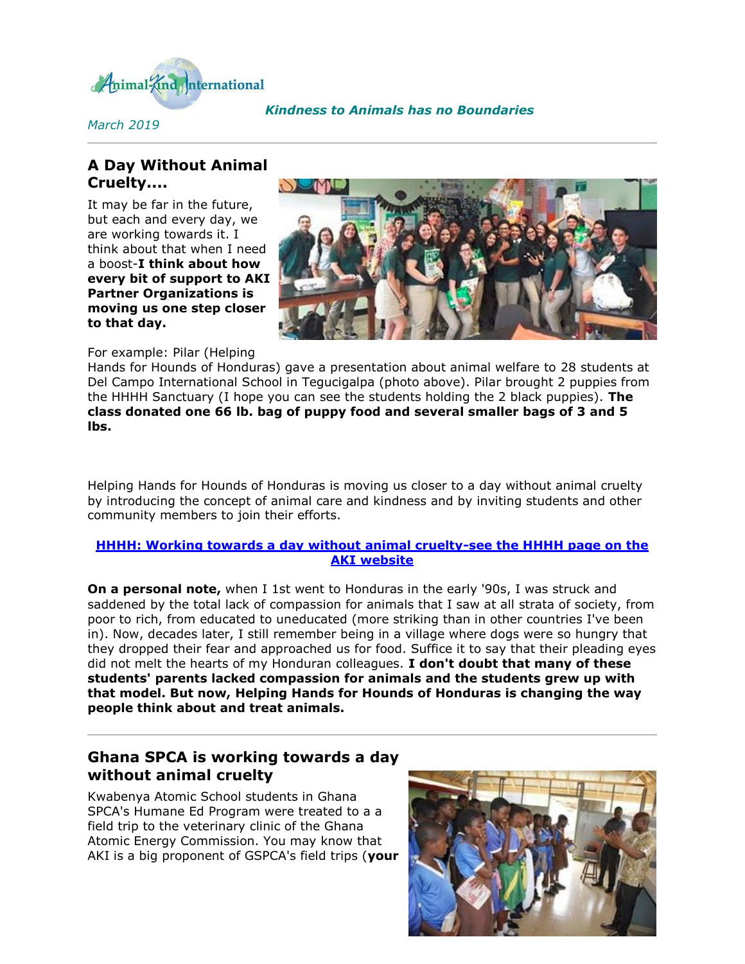

*March 2019*

### *[K](http://cts.vresp.com/c/?AnimalKindInternatio/aec1770ba6/f33df9aebc/d4ee6276ae)indness to Animals has no Boundaries*

# **A Day Without Animal Cruelty....**

It may be far in the future, but each and every day, we are working towards it. I think about that when I need a boost-**I think about how every bit of support to AKI Partner Organizations is moving us one step closer to that day.**



For example: Pilar (Helping

Hands for Hounds of Honduras) gave a presentation about animal welfare to 28 students at Del Campo International School in Tegucigalpa (photo above). Pilar brought 2 puppies from the HHHH Sanctuary (I hope you can see the students holding the 2 black puppies). **The class donated one 66 lb. bag of puppy food and several smaller bags of 3 and 5 lbs.**

Helping Hands for Hounds of Honduras is moving us closer to a day without animal cruelty by introducing the concept of animal care and kindness and by inviting students and other community members to join their efforts.

### **[HHHH: Working towards a day without animal cruelty-see the HHHH page on the](http://cts.vresp.com/c/?AnimalKindInternatio/aec1770ba6/f33df9aebc/d87979ad30)  [AKI website](http://cts.vresp.com/c/?AnimalKindInternatio/aec1770ba6/f33df9aebc/d87979ad30)**

**On a personal note,** when I 1st went to Honduras in the early '90s, I was struck and saddened by the total lack of compassion for animals that I saw at all strata of society, from poor to rich, from educated to uneducated (more striking than in other countries I've been in). Now, decades later, I still remember being in a village where dogs were so hungry that they dropped their fear and approached us for food. Suffice it to say that their pleading eyes did not melt the hearts of my Honduran colleagues. **I don't doubt that many of these students' parents lacked compassion for animals and the students grew up with that model. But now, Helping Hands for Hounds of Honduras is changing the way people think about and treat animals.**

# **Ghana SPCA is working towards a day without animal cruelty**

Kwabenya Atomic School students in Ghana SPCA's Humane Ed Program were treated to a a field trip to the veterinary clinic of the Ghana Atomic Energy Commission. You may know that AKI is a big proponent of GSPCA's field trips (**your** 

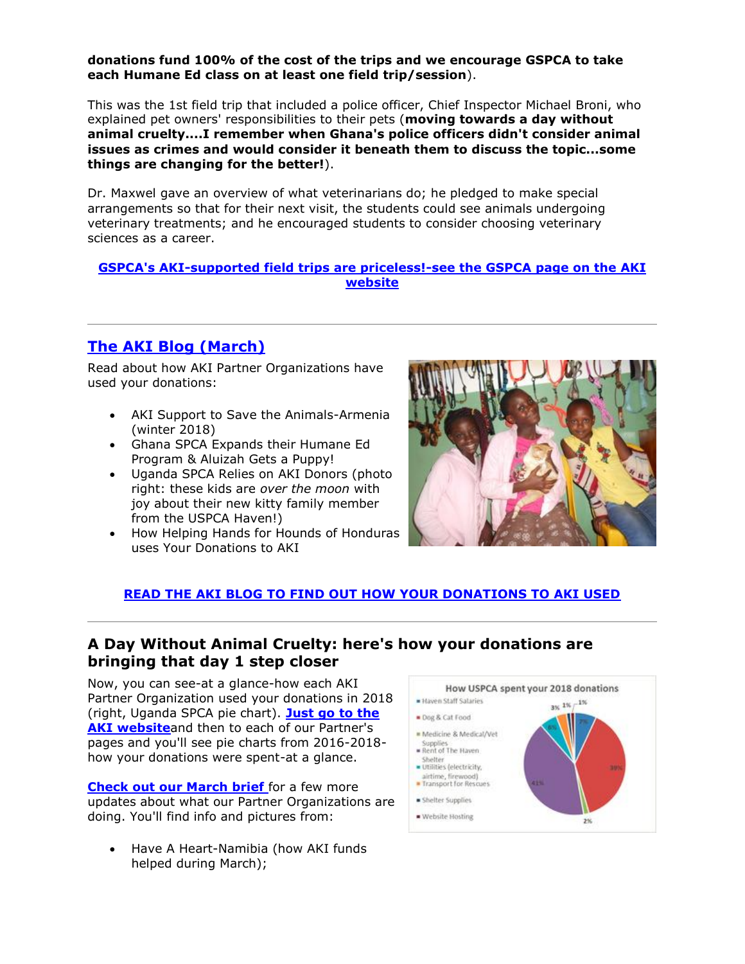#### **donations fund 100% of the cost of the trips and we encourage GSPCA to take each Humane Ed class on at least one field trip/session**).

This was the 1st field trip that included a police officer, Chief Inspector Michael Broni, who explained pet owners' responsibilities to their pets (**moving towards a day without animal cruelty....I remember when Ghana's police officers didn't consider animal issues as crimes and would consider it beneath them to discuss the topic...some things are changing for the better!**).

Dr. Maxwel gave an overview of what veterinarians do; he pledged to make special arrangements so that for their next visit, the students could see animals undergoing veterinary treatments; and he encouraged students to consider choosing veterinary sciences as a career.

#### **[GSPCA's AKI-supported field trips are priceless!-see the GSPCA page on the AKI](http://cts.vresp.com/c/?AnimalKindInternatio/aec1770ba6/f33df9aebc/1fba6b95eb)  [website](http://cts.vresp.com/c/?AnimalKindInternatio/aec1770ba6/f33df9aebc/1fba6b95eb)**

# **[The AKI Blog \(March\)](http://cts.vresp.com/c/?AnimalKindInternatio/aec1770ba6/f33df9aebc/ec6f23b695)**

Read about how AKI Partner Organizations have used your donations:

- AKI Support to Save the Animals-Armenia (winter 2018)
- Ghana SPCA Expands their Humane Ed Program & Aluizah Gets a Puppy!
- Uganda SPCA Relies on AKI Donors (photo right: these kids are *over the moon* with joy about their new kitty family member from the USPCA Haven!)
- How Helping Hands for Hounds of Honduras uses Your Donations to AKI



### **[READ THE AKI BLOG TO FIND OUT HOW YOUR DONATIONS TO AKI USED](http://cts.vresp.com/c/?AnimalKindInternatio/aec1770ba6/f33df9aebc/b6dc367763)**

## **A Day Without Animal Cruelty: here's how your donations are bringing that day 1 step closer**

Now, you can see-at a glance-how each AKI Partner Organization used your donations in 2018 (right, Uganda SPCA pie chart). **[Just go to the](http://cts.vresp.com/c/?AnimalKindInternatio/aec1770ba6/f33df9aebc/ab65ebff46)  [AKI website](http://cts.vresp.com/c/?AnimalKindInternatio/aec1770ba6/f33df9aebc/ab65ebff46)**and then to each of our Partner's pages and you'll see pie charts from 2016-2018 how your donations were spent-at a glance.

**[Check out our March brief](http://cts.vresp.com/c/?AnimalKindInternatio/aec1770ba6/f33df9aebc/194ea052a5)** for a few more updates about what our Partner Organizations are doing. You'll find info and pictures from:

 Have A Heart-Namibia (how AKI funds helped during March);